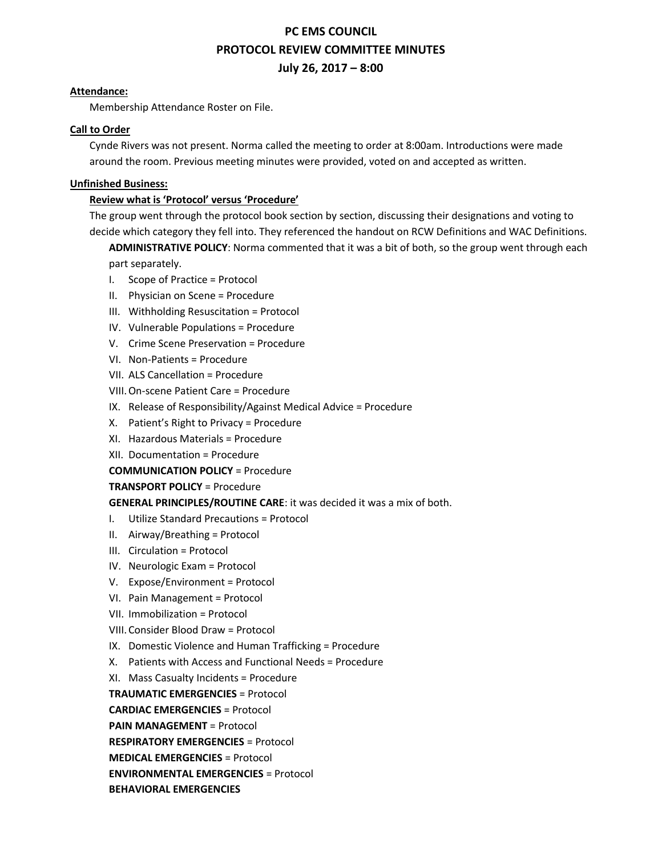# **PC EMS COUNCIL PROTOCOL REVIEW COMMITTEE MINUTES July 26, 2017 – 8:00**

## **Attendance:**

Membership Attendance Roster on File.

# **Call to Order**

Cynde Rivers was not present. Norma called the meeting to order at 8:00am. Introductions were made around the room. Previous meeting minutes were provided, voted on and accepted as written.

# **Unfinished Business:**

# **Review what is 'Protocol' versus 'Procedure'**

The group went through the protocol book section by section, discussing their designations and voting to decide which category they fell into. They referenced the handout on RCW Definitions and WAC Definitions.

**ADMINISTRATIVE POLICY**: Norma commented that it was a bit of both, so the group went through each part separately.

- I. Scope of Practice = Protocol
- II. Physician on Scene = Procedure
- III. Withholding Resuscitation = Protocol
- IV. Vulnerable Populations = Procedure
- V. Crime Scene Preservation = Procedure
- VI. Non-Patients = Procedure
- VII. ALS Cancellation = Procedure
- VIII.On-scene Patient Care = Procedure
- IX. Release of Responsibility/Against Medical Advice = Procedure
- X. Patient's Right to Privacy = Procedure
- XI. Hazardous Materials = Procedure
- XII. Documentation = Procedure

**COMMUNICATION POLICY** = Procedure

### **TRANSPORT POLICY** = Procedure

# **GENERAL PRINCIPLES/ROUTINE CARE**: it was decided it was a mix of both.

- I. Utilize Standard Precautions = Protocol
- II. Airway/Breathing = Protocol
- III. Circulation = Protocol
- IV. Neurologic Exam = Protocol
- V. Expose/Environment = Protocol
- VI. Pain Management = Protocol
- VII. Immobilization = Protocol
- VIII. Consider Blood Draw = Protocol
- IX. Domestic Violence and Human Trafficking = Procedure
- X. Patients with Access and Functional Needs = Procedure
- XI. Mass Casualty Incidents = Procedure

**TRAUMATIC EMERGENCIES** = Protocol

**CARDIAC EMERGENCIES** = Protocol

**PAIN MANAGEMENT** = Protocol

**RESPIRATORY EMERGENCIES** = Protocol

**MEDICAL EMERGENCIES** = Protocol

**ENVIRONMENTAL EMERGENCIES** = Protocol

**BEHAVIORAL EMERGENCIES**